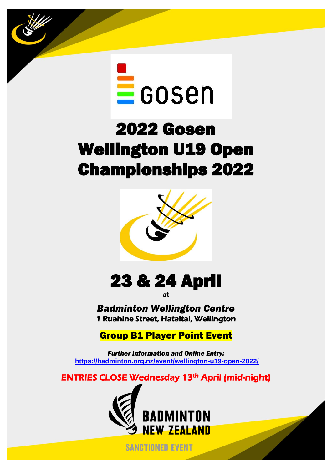

ł

# 2022 Gosen Wellington U19 Open Championships 2022



# 23 & 24 April

at

*Badminton Wellington Centre* 1 Ruahine Street, Hataitai, Wellington

## Group B1 Player Point Event

*Further Information and Online Entry:*  **<https://badminton.org.nz/event/wellington-u19-open-2022/>**

ENTRIES CLOSE Wednesday 13th April (mid-night)



**SANCTIONED EVENT**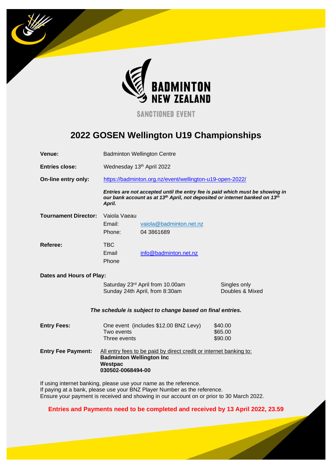

**SANCTIONED EVENT** 

### **2022 GOSEN Wellington U19 Championships**

| Venue:                      | <b>Badminton Wellington Centre</b>                                                                                                                                     |                                                                                                                                               |                                 |  |
|-----------------------------|------------------------------------------------------------------------------------------------------------------------------------------------------------------------|-----------------------------------------------------------------------------------------------------------------------------------------------|---------------------------------|--|
| <b>Entries close:</b>       | Wednesday 13th April 2022                                                                                                                                              |                                                                                                                                               |                                 |  |
| On-line entry only:         |                                                                                                                                                                        | https://badminton.org.nz/event/wellington-u19-open-2022/                                                                                      |                                 |  |
|                             | Entries are not accepted until the entry fee is paid which must be showing in<br>our bank account as at 13th April, not deposited or internet banked on 13th<br>April. |                                                                                                                                               |                                 |  |
| <b>Tournament Director:</b> | Vaiola Vaeau<br>Email:<br>Phone:                                                                                                                                       | vaiola@badminton.net.nz<br>04 3861689                                                                                                         |                                 |  |
| Referee:                    | <b>TBC</b><br>Email<br>Phone                                                                                                                                           | info@badminton.net.nz                                                                                                                         |                                 |  |
| Dates and Hours of Play:    |                                                                                                                                                                        |                                                                                                                                               |                                 |  |
|                             | Saturday 23rd April from 10.00am<br>Sunday 24th April, from 8:30am                                                                                                     |                                                                                                                                               | Singles only<br>Doubles & Mixed |  |
|                             |                                                                                                                                                                        | The schedule is subject to change based on final entries.                                                                                     |                                 |  |
| <b>Entry Fees:</b>          | One event (includes \$12.00 BNZ Levy)<br>Two events<br>Three events                                                                                                    |                                                                                                                                               | \$40.00<br>\$65.00<br>\$90.00   |  |
| <b>Entry Fee Payment:</b>   | All entry fees to be paid by direct credit or internet banking to:<br><b>Badminton Wellington Inc</b><br>Westpac<br>030502-0068494-00                                  |                                                                                                                                               |                                 |  |
|                             |                                                                                                                                                                        | If using internet banking, please use your name as the reference.<br>If paying at a bank, please use your BNZ Player Number as the reference. |                                 |  |

Ensure your payment is received and showing in our account on or prior to 30 March 2022.

**Entries and Payments need to be completed and received by 13 April 2022, 23.59**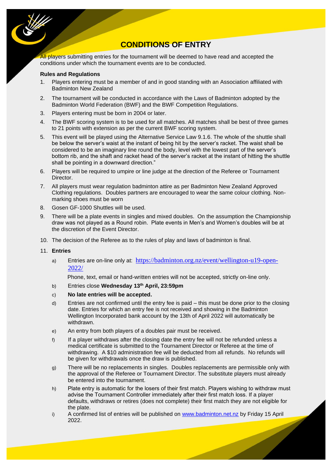

### **CONDITIONS OF ENTRY**

All players submitting entries for the tournament will be deemed to have read and accepted the conditions under which the tournament events are to be conducted.

#### **Rules and Regulations**

- 1. Players entering must be a member of and in good standing with an Association affiliated with Badminton New Zealand
- 2. The tournament will be conducted in accordance with the Laws of Badminton adopted by the Badminton World Federation (BWF) and the BWF Competition Regulations.
- 3. Players entering must be born in 2004 or later.
- 4. The BWF scoring system is to be used for all matches. All matches shall be best of three games to 21 points with extension as per the current BWF scoring system.
- 5. This event will be played using the Alternative Service Law 9.1.6. The whole of the shuttle shall be below the server's waist at the instant of being hit by the server's racket. The waist shall be considered to be an imaginary line round the body, level with the lowest part of the server's bottom rib, and the shaft and racket head of the server's racket at the instant of hitting the shuttle shall be pointing in a downward direction."
- 6. Players will be required to umpire or line judge at the direction of the Referee or Tournament Director.
- 7. All players must wear regulation badminton attire as per Badminton New Zealand Approved Clothing regulations. Doubles partners are encouraged to wear the same colour clothing. Nonmarking shoes must be worn
- 8. Gosen GF-1000 Shuttles will be used.
- 9. There will be a plate events in singles and mixed doubles. On the assumption the Championship draw was not played as a Round robin. Plate events in Men's and Women's doubles will be at the discretion of the Event Director.
- 10. The decision of the Referee as to the rules of play and laws of badminton is final.

#### 11. **Entries**

a) Entries are on-line only at: [https://badminton.org.nz/event/wellington-u19-open-](https://badminton.org.nz/event/wellington-u19-open-2022/)[2022/](https://badminton.org.nz/event/wellington-u19-open-2022/)

Phone, text, email or hand-written entries will not be accepted, strictly on-line only.

- b) Entries close **Wednesday 13th April, 23:59pm**
- c) **No late entries will be accepted.**
- d) Entries are not confirmed until the entry fee is paid this must be done prior to the closing date. Entries for which an entry fee is not received and showing in the Badminton Wellington Incorporated bank account by the 13th of April 2022 will automatically be withdrawn.
- e) An entry from both players of a doubles pair must be received.
- f) If a player withdraws after the closing date the entry fee will not be refunded unless a medical certificate is submitted to the Tournament Director or Referee at the time of withdrawing. A \$10 administration fee will be deducted from all refunds. No refunds will be given for withdrawals once the draw is published.
- g) There will be no replacements in singles. Doubles replacements are permissible only with the approval of the Referee or Tournament Director. The substitute players must already be entered into the tournament.
- h) Plate entry is automatic for the losers of their first match. Players wishing to withdraw must advise the Tournament Controller immediately after their first match loss. If a player defaults, withdraws or retires (does not complete) their first match they are not eligible for the plate.
- i) A confirmed list of entries will be published on [www.badminton.net.nz](http://www.badminton.net.nz/) by Friday 15 April 2022.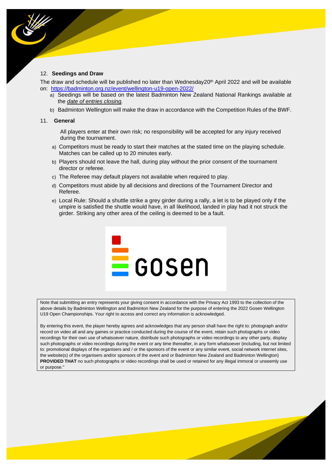#### 12. **Seedings and Draw**

The draw and schedule will be published no later than Wednesday20<sup>th</sup> April 2022 and will be available on: <https://badminton.org.nz/event/wellington-u19-open-2022/>

- a) Seedings will be based on the latest Badminton New Zealand National Rankings available at the *date of entries closing.*
- b) Badminton Wellington will make the draw in accordance with the Competition Rules of the BWF.

#### 11. **General**

All players enter at their own risk; no responsibility will be accepted for any injury received during the tournament.

- a) Competitors must be ready to start their matches at the stated time on the playing schedule. Matches can be called up to 20 minutes early.
- b) Players should not leave the hall, during play without the prior consent of the tournament director or referee.
- c) The Referee may default players not available when required to play.
- d) Competitors must abide by all decisions and directions of the Tournament Director and Referee.
- e) Local Rule: Should a shuttle strike a grey girder during a rally, a let is to be played only if the umpire is satisfied the shuttle would have, in all likelihood, landed in play had it not struck the girder. Striking any other area of the ceiling is deemed to be a fault.



Note that submitting an entry represents your giving consent in accordance with the Privacy Act 1993 to the collection of the above details by Badminton Wellington and Badminton New Zealand for the purpose of entering the 2022 Gosen Wellington U19 Open Championships. Your right to access and correct any information is acknowledged.

By entering this event, the player hereby agrees and acknowledges that any person shall have the right to: photograph and/or record on video all and any games or practice conducted during the course of the event, retain such photographs or video recordings for their own use of whatsoever nature, distribute such photographs or video recordings to any other party, display such photographs or video recordings during the event or any time thereafter, in any form whatsoever (including, but not limited to: promotional displays of the organisers and / or the sponsors of the event or any similar event, social network internet sites, the website(s) of the organisers and/or sponsors of the event and or Badminton New Zealand and Badminton Wellington) **PROVIDED THAT** no such photographs or video recordings shall be used or retained for any illegal immoral or unseemly use or purpose."